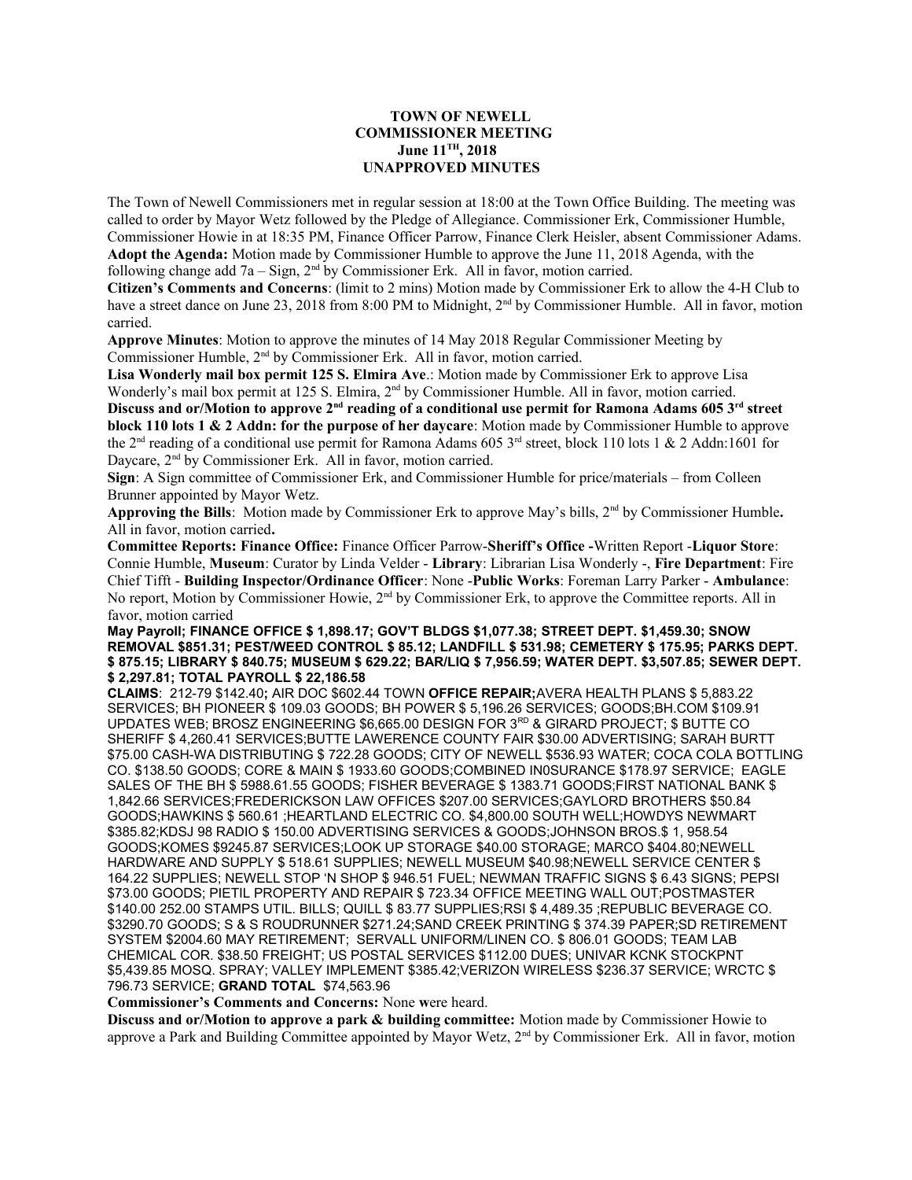## **TOWN OF NEWELL COMMISSIONER MEETING June 11TH, 2018 UNAPPROVED MINUTES**

The Town of Newell Commissioners met in regular session at 18:00 at the Town Office Building. The meeting was called to order by Mayor Wetz followed by the Pledge of Allegiance. Commissioner Erk, Commissioner Humble, Commissioner Howie in at 18:35 PM, Finance Officer Parrow, Finance Clerk Heisler, absent Commissioner Adams. **Adopt the Agenda:** Motion made by Commissioner Humble to approve the June 11, 2018 Agenda, with the following change add  $7a - Sign$ ,  $2<sup>nd</sup>$  by Commissioner Erk. All in favor, motion carried.

**Citizen's Comments and Concerns**: (limit to 2 mins) Motion made by Commissioner Erk to allow the 4-H Club to have a street dance on June 23, 2018 from 8:00 PM to Midnight, 2<sup>nd</sup> by Commissioner Humble. All in favor, motion carried.

**Approve Minutes**: Motion to approve the minutes of 14 May 2018 Regular Commissioner Meeting by Commissioner Humble, 2nd by Commissioner Erk. All in favor, motion carried.

**Lisa Wonderly mail box permit 125 S. Elmira Ave**.: Motion made by Commissioner Erk to approve Lisa Wonderly's mail box permit at 125 S. Elmira, 2<sup>nd</sup> by Commissioner Humble. All in favor, motion carried. **Discuss and or/Motion to approve 2nd reading of a conditional use permit for Ramona Adams 605 3rd street block 110 lots 1 & 2 Addn: for the purpose of her daycare**: Motion made by Commissioner Humble to approve the 2<sup>nd</sup> reading of a conditional use permit for Ramona Adams 605 3<sup>rd</sup> street, block 110 lots 1 & 2 Addn:1601 for Daycare, 2<sup>nd</sup> by Commissioner Erk. All in favor, motion carried.

**Sign**: A Sign committee of Commissioner Erk, and Commissioner Humble for price/materials – from Colleen Brunner appointed by Mayor Wetz.

**Approving the Bills**: Motion made by Commissioner Erk to approve May's bills, 2nd by Commissioner Humble**.**  All in favor, motion carried**.**

**Committee Reports: Finance Office:** Finance Officer Parrow-**Sheriff's Office -**Written Report -**Liquor Store**: Connie Humble, **Museum**: Curator by Linda Velder - **Library**: Librarian Lisa Wonderly -, **Fire Department**: Fire Chief Tifft - **Building Inspector/Ordinance Officer**: None -**Public Works**: Foreman Larry Parker - **Ambulance**: No report, Motion by Commissioner Howie, 2<sup>nd</sup> by Commissioner Erk, to approve the Committee reports. All in favor, motion carried

## **May Payroll; FINANCE OFFICE \$ 1,898.17; GOV'T BLDGS \$1,077.38; STREET DEPT. \$1,459.30; SNOW REMOVAL \$851.31; PEST/WEED CONTROL \$ 85.12; LANDFILL \$ 531.98; CEMETERY \$ 175.95; PARKS DEPT. \$ 875.15; LIBRARY \$ 840.75; MUSEUM \$ 629.22; BAR/LIQ \$ 7,956.59; WATER DEPT. \$3,507.85; SEWER DEPT. \$ 2,297.81; TOTAL PAYROLL \$ 22,186.58**

**CLAIMS**: 212-79 \$142.40**;** AIR DOC \$602.44 TOWN **OFFICE REPAIR;**AVERA HEALTH PLANS \$ 5,883.22 SERVICES; BH PIONEER \$ 109.03 GOODS; BH POWER \$ 5,196.26 SERVICES; GOODS;BH.COM \$109.91 UPDATES WEB; BROSZ ENGINEERING \$6,665.00 DESIGN FOR 3RD & GIRARD PROJECT; \$ BUTTE CO SHERIFF \$ 4,260.41 SERVICES;BUTTE LAWERENCE COUNTY FAIR \$30.00 ADVERTISING; SARAH BURTT \$75.00 CASH-WA DISTRIBUTING \$ 722.28 GOODS; CITY OF NEWELL \$536.93 WATER; COCA COLA BOTTLING CO. \$138.50 GOODS; CORE & MAIN \$ 1933.60 GOODS;COMBINED IN0SURANCE \$178.97 SERVICE; EAGLE SALES OF THE BH \$ 5988.61.55 GOODS; FISHER BEVERAGE \$ 1383.71 GOODS;FIRST NATIONAL BANK \$ 1,842.66 SERVICES;FREDERICKSON LAW OFFICES \$207.00 SERVICES;GAYLORD BROTHERS \$50.84 GOODS;HAWKINS \$ 560.61 ;HEARTLAND ELECTRIC CO. \$4,800.00 SOUTH WELL;HOWDYS NEWMART \$385.82;KDSJ 98 RADIO \$ 150.00 ADVERTISING SERVICES & GOODS;JOHNSON BROS.\$ 1, 958.54 GOODS;KOMES \$9245.87 SERVICES;LOOK UP STORAGE \$40.00 STORAGE; MARCO \$404.80;NEWELL HARDWARE AND SUPPLY \$ 518.61 SUPPLIES; NEWELL MUSEUM \$40.98;NEWELL SERVICE CENTER \$ 164.22 SUPPLIES; NEWELL STOP 'N SHOP \$ 946.51 FUEL; NEWMAN TRAFFIC SIGNS \$ 6.43 SIGNS; PEPSI \$73.00 GOODS; PIETIL PROPERTY AND REPAIR \$ 723.34 OFFICE MEETING WALL OUT;POSTMASTER \$140.00 252.00 STAMPS UTIL. BILLS; QUILL \$ 83.77 SUPPLIES;RSI \$ 4,489.35 ;REPUBLIC BEVERAGE CO. \$3290.70 GOODS; S & S ROUDRUNNER \$271.24;SAND CREEK PRINTING \$ 374.39 PAPER;SD RETIREMENT SYSTEM \$2004.60 MAY RETIREMENT; SERVALL UNIFORM/LINEN CO. \$ 806.01 GOODS; TEAM LAB CHEMICAL COR. \$38.50 FREIGHT; US POSTAL SERVICES \$112.00 DUES; UNIVAR KCNK STOCKPNT \$5,439.85 MOSQ. SPRAY; VALLEY IMPLEMENT \$385.42;VERIZON WIRELESS \$236.37 SERVICE; WRCTC \$ 796.73 SERVICE; **GRAND TOTAL** \$74,563.96

**Commissioner's Comments and Concerns:** None **w**ere heard.

**Discuss and or/Motion to approve a park & building committee:** Motion made by Commissioner Howie to approve a Park and Building Committee appointed by Mayor Wetz, 2nd by Commissioner Erk. All in favor, motion